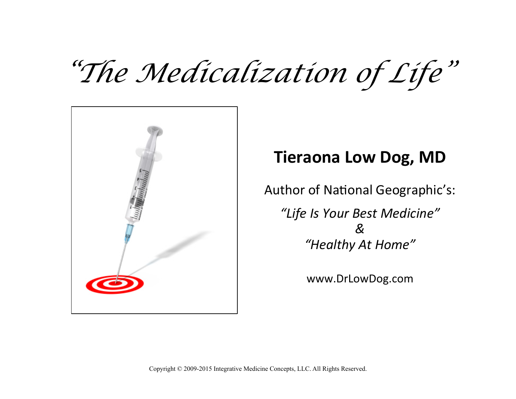## *"The Medicalization of Life"*



## **Tieraona Low Dog, MD**

Author of National Geographic's:

*"Life Is Your Best Medicine" & "Healthy At Home"* 

www.DrLowDog.com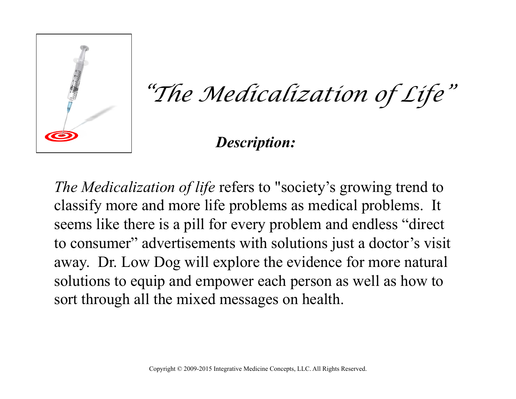

*"The Medicalization of Life"*

*Description:*

*The Medicalization of life* refers to "society's growing trend to classify more and more life problems as medical problems. It seems like there is a pill for every problem and endless "direct" to consumer" advertisements with solutions just a doctor's visit away. Dr. Low Dog will explore the evidence for more natural solutions to equip and empower each person as well as how to sort through all the mixed messages on health.